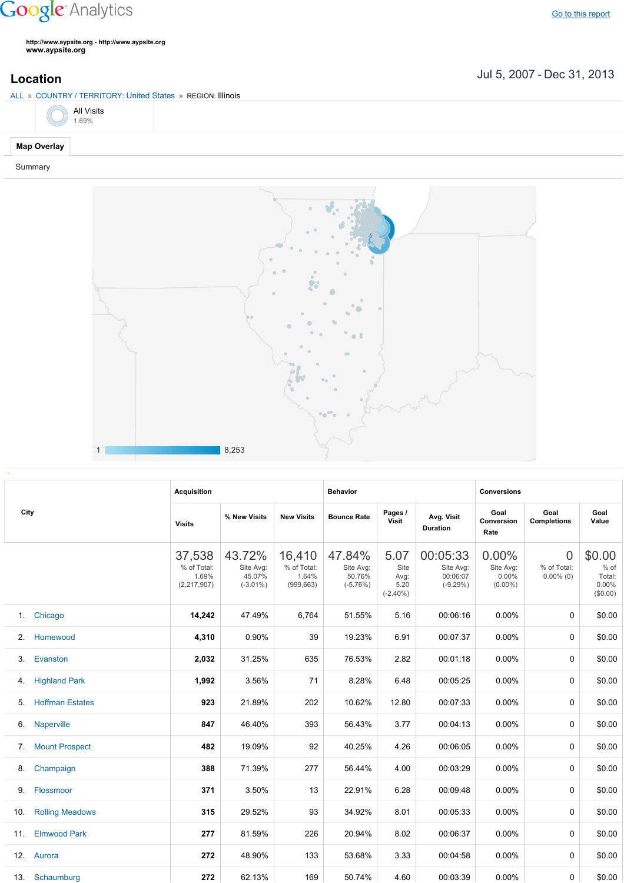## **Google** Analytics

**http://www.aypsite.org http://www.aypsite.org www.aypsite.org**

**Location** Jul 5, 2007 - Dec 31, 2013

|                    |                    | ALL » COUNTRY / TERRITORY: United States » REGION: Illinois |
|--------------------|--------------------|-------------------------------------------------------------|
|                    | All Visits<br>.69% |                                                             |
| <b>Map Overlay</b> |                    |                                                             |

Summary



|      |                        | <b>Acquisition</b>                            |                                              |                                              | <b>Behavior</b>                             |                                             |                                                 | <b>Conversions</b>                           |                                         |                                               |  |
|------|------------------------|-----------------------------------------------|----------------------------------------------|----------------------------------------------|---------------------------------------------|---------------------------------------------|-------------------------------------------------|----------------------------------------------|-----------------------------------------|-----------------------------------------------|--|
| City |                        | <b>Visits</b>                                 | % New Visits                                 | <b>New Visits</b>                            | <b>Bounce Rate</b>                          | Pages /<br>Visit                            | Avg. Visit<br><b>Duration</b>                   | Goal<br>Conversion<br>Rate                   | Goal<br><b>Completions</b>              | Goal<br>Value                                 |  |
|      |                        | 37,538<br>% of Total:<br>1.69%<br>(2,217,907) | 43.72%<br>Site Avg:<br>45.07%<br>$(-3.01\%)$ | 16,410<br>% of Total:<br>1.64%<br>(999, 663) | 47.84%<br>Site Avg:<br>50.76%<br>$(-5.76%)$ | 5.07<br>Site<br>Avg:<br>5.20<br>$(-2.40\%)$ | 00:05:33<br>Site Avg:<br>00:06:07<br>$(-9.29%)$ | $0.00\%$<br>Site Avg:<br>0.00%<br>$(0.00\%)$ | $\Omega$<br>% of Total:<br>$0.00\%$ (0) | \$0.00<br>% of<br>Total:<br>0.00%<br>(\$0.00) |  |
| 1.   | Chicago                | 14,242                                        | 47.49%                                       | 6,764                                        | 51.55%                                      | 5.16                                        | 00:06:16                                        | 0.00%                                        | 0                                       | \$0.00                                        |  |
| 2.   | Homewood               | 4,310                                         | 0.90%                                        | 39                                           | 19.23%                                      | 6.91                                        | 00:07:37                                        | 0.00%                                        | 0                                       | \$0.00                                        |  |
| 3.   | Evanston               | 2,032                                         | 31.25%                                       | 635                                          | 76.53%                                      | 2.82                                        | 00:01:18                                        | 0.00%                                        | 0                                       | \$0.00                                        |  |
| 4.   | <b>Highland Park</b>   | 1,992                                         | 3.56%                                        | 71                                           | 8.28%                                       | 6.48                                        | 00:05:25                                        | 0.00%                                        | 0                                       | \$0.00                                        |  |
| 5.   | <b>Hoffman Estates</b> | 923                                           | 21.89%                                       | 202                                          | 10.62%                                      | 12.80                                       | 00:07:33                                        | $0.00\%$                                     | 0                                       | \$0.00                                        |  |
| 6.   | <b>Naperville</b>      | 847                                           | 46.40%                                       | 393                                          | 56.43%                                      | 3.77                                        | 00:04:13                                        | $0.00\%$                                     | 0                                       | \$0.00                                        |  |
| 7.   | <b>Mount Prospect</b>  | 482                                           | 19.09%                                       | 92                                           | 40.25%                                      | 4.26                                        | 00:06:05                                        | 0.00%                                        | 0                                       | \$0.00                                        |  |
| 8.   | Champaign              | 388                                           | 71.39%                                       | 277                                          | 56.44%                                      | 4.00                                        | 00:03:29                                        | 0.00%                                        | 0                                       | \$0.00                                        |  |
| 9.   | Flossmoor              | 371                                           | 3.50%                                        | 13                                           | 22.91%                                      | 6.28                                        | 00:09:48                                        | $0.00\%$                                     | $\mathbf{0}$                            | \$0.00                                        |  |
| 10.  | <b>Rolling Meadows</b> | 315                                           | 29.52%                                       | 93                                           | 34.92%                                      | 8.01                                        | 00:05:33                                        | 0.00%                                        | 0                                       | \$0.00                                        |  |
| 11.  | <b>Elmwood Park</b>    | 277                                           | 81.59%                                       | 226                                          | 20.94%                                      | 8.02                                        | 00:06:37                                        | 0.00%                                        | 0                                       | \$0.00                                        |  |
|      | 12. Aurora             | 272                                           | 48.90%                                       | 133                                          | 53.68%                                      | 3.33                                        | 00:04:58                                        | $0.00\%$                                     | $\Omega$                                | \$0.00                                        |  |
|      | 13. Schaumburg         | 272                                           | 62.13%                                       | 169                                          | 50.74%                                      | 4.60                                        | 00:03:39                                        | $0.00\%$                                     | 0                                       | \$0.00                                        |  |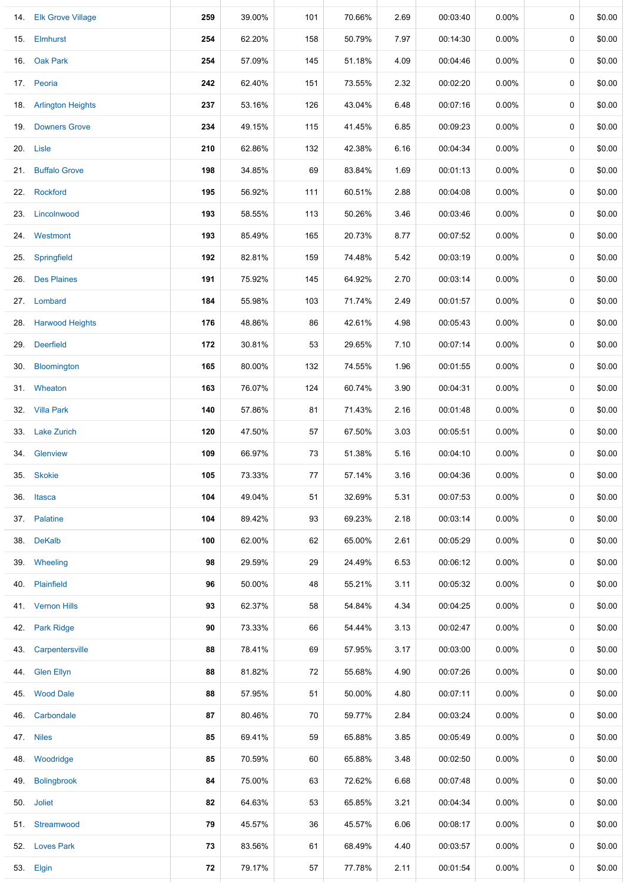|     | 14. Elk Grove Village | 259 | 39.00% | 101 | 70.66% | 2.69 | 00:03:40 | $0.00\%$ | 0 | \$0.00 |
|-----|-----------------------|-----|--------|-----|--------|------|----------|----------|---|--------|
|     | 15. Elmhurst          | 254 | 62.20% | 158 | 50.79% | 7.97 | 00:14:30 | 0.00%    | 0 | \$0.00 |
| 16. | <b>Oak Park</b>       | 254 | 57.09% | 145 | 51.18% | 4.09 | 00:04:46 | $0.00\%$ | 0 | \$0.00 |
|     | 17. Peoria            | 242 | 62.40% | 151 | 73.55% | 2.32 | 00:02:20 | $0.00\%$ | 0 | \$0.00 |
|     | 18. Arlington Heights | 237 | 53.16% | 126 | 43.04% | 6.48 | 00:07:16 | $0.00\%$ | 0 | \$0.00 |
| 19. | <b>Downers Grove</b>  | 234 | 49.15% | 115 | 41.45% | 6.85 | 00:09:23 | $0.00\%$ | 0 | \$0.00 |
|     | 20. Lisle             | 210 | 62.86% | 132 | 42.38% | 6.16 | 00:04:34 | $0.00\%$ | 0 | \$0.00 |
| 21. | <b>Buffalo Grove</b>  | 198 | 34.85% | 69  | 83.84% | 1.69 | 00:01:13 | $0.00\%$ | 0 | \$0.00 |
|     | 22. Rockford          | 195 | 56.92% | 111 | 60.51% | 2.88 | 00:04:08 | $0.00\%$ | 0 | \$0.00 |
| 23. | Lincolnwood           | 193 | 58.55% | 113 | 50.26% | 3.46 | 00:03:46 | $0.00\%$ | 0 | \$0.00 |
|     | 24. Westmont          | 193 | 85.49% | 165 | 20.73% | 8.77 | 00:07:52 | $0.00\%$ | 0 | \$0.00 |
| 25. | Springfield           | 192 | 82.81% | 159 | 74.48% | 5.42 | 00:03:19 | $0.00\%$ | 0 | \$0.00 |
|     | 26. Des Plaines       | 191 | 75.92% | 145 | 64.92% | 2.70 | 00:03:14 | $0.00\%$ | 0 | \$0.00 |
|     | 27. Lombard           | 184 | 55.98% | 103 | 71.74% | 2.49 | 00:01:57 | $0.00\%$ | 0 | \$0.00 |
|     | 28. Harwood Heights   | 176 | 48.86% | 86  | 42.61% | 4.98 | 00:05:43 | $0.00\%$ | 0 | \$0.00 |
| 29. | <b>Deerfield</b>      | 172 | 30.81% | 53  | 29.65% | 7.10 | 00:07:14 | $0.00\%$ | 0 | \$0.00 |
| 30. | Bloomington           | 165 | 80.00% | 132 | 74.55% | 1.96 | 00:01:55 | $0.00\%$ | 0 | \$0.00 |
|     | 31. Wheaton           | 163 | 76.07% | 124 | 60.74% | 3.90 | 00:04:31 | $0.00\%$ | 0 | \$0.00 |
|     | 32. Villa Park        | 140 | 57.86% | 81  | 71.43% | 2.16 | 00:01:48 | $0.00\%$ | 0 | \$0.00 |
| 33. | <b>Lake Zurich</b>    | 120 | 47.50% | 57  | 67.50% | 3.03 | 00:05:51 | $0.00\%$ | 0 | \$0.00 |
|     | 34. Glenview          | 109 | 66.97% | 73  | 51.38% | 5.16 | 00:04:10 | $0.00\%$ | 0 | \$0.00 |
| 35. | <b>Skokie</b>         | 105 | 73.33% | 77  | 57.14% | 3.16 | 00:04:36 | $0.00\%$ | 0 | \$0.00 |
|     | 36. Itasca            | 104 | 49.04% | 51  | 32.69% | 5.31 | 00:07:53 | $0.00\%$ | 0 | \$0.00 |
|     | 37. Palatine          | 104 | 89.42% | 93  | 69.23% | 2.18 | 00:03:14 | $0.00\%$ | 0 | \$0.00 |
|     | 38. DeKalb            | 100 | 62.00% | 62  | 65.00% | 2.61 | 00:05:29 | $0.00\%$ | 0 | \$0.00 |
|     | 39. Wheeling          | 98  | 29.59% | 29  | 24.49% | 6.53 | 00:06:12 | $0.00\%$ | 0 | \$0.00 |
|     | 40. Plainfield        | 96  | 50.00% | 48  | 55.21% | 3.11 | 00:05:32 | $0.00\%$ | 0 | \$0.00 |
|     | 41. Vernon Hills      | 93  | 62.37% | 58  | 54.84% | 4.34 | 00:04:25 | $0.00\%$ | 0 | \$0.00 |
|     | 42. Park Ridge        | 90  | 73.33% | 66  | 54.44% | 3.13 | 00:02:47 | $0.00\%$ | 0 | \$0.00 |
|     | 43. Carpentersville   | 88  | 78.41% | 69  | 57.95% | 3.17 | 00:03:00 | $0.00\%$ | 0 | \$0.00 |
|     | 44. Glen Ellyn        | 88  | 81.82% | 72  | 55.68% | 4.90 | 00:07:26 | $0.00\%$ | 0 | \$0.00 |
|     | 45. Wood Dale         | 88  | 57.95% | 51  | 50.00% | 4.80 | 00:07:11 | $0.00\%$ | 0 | \$0.00 |
| 46. | Carbondale            | 87  | 80.46% | 70  | 59.77% | 2.84 | 00:03:24 | $0.00\%$ | 0 | \$0.00 |
|     | 47. Niles             | 85  | 69.41% | 59  | 65.88% | 3.85 | 00:05:49 | $0.00\%$ | 0 | \$0.00 |
|     | 48. Woodridge         | 85  | 70.59% | 60  | 65.88% | 3.48 | 00:02:50 | $0.00\%$ | 0 | \$0.00 |
|     | 49. Bolingbrook       | 84  | 75.00% | 63  | 72.62% | 6.68 | 00:07:48 | $0.00\%$ | 0 | \$0.00 |
|     | 50. Joliet            | 82  | 64.63% | 53  | 65.85% | 3.21 | 00:04:34 | $0.00\%$ | 0 | \$0.00 |
|     | 51. Streamwood        | 79  | 45.57% | 36  | 45.57% | 6.06 | 00:08:17 | $0.00\%$ | 0 | \$0.00 |
|     | 52. Loves Park        | 73  | 83.56% | 61  | 68.49% | 4.40 | 00:03:57 | $0.00\%$ | 0 | \$0.00 |
|     | 53. Elgin             | 72  | 79.17% | 57  | 77.78% | 2.11 | 00:01:54 | $0.00\%$ | 0 | \$0.00 |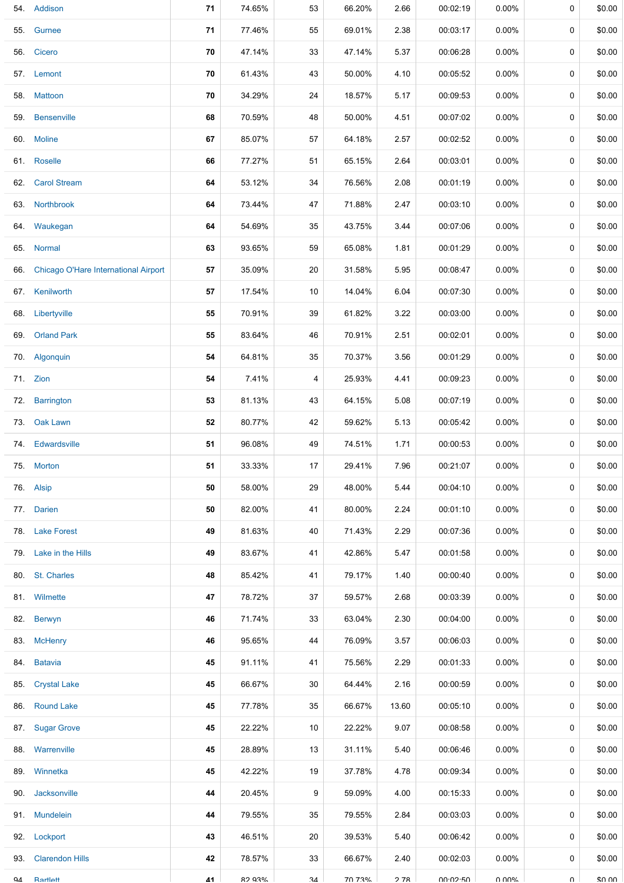| 54. | Addison                              | 71 | 74.65% | 53 | 66.20% | 2.66  | 00:02:19 | 0.00%    | 0           | \$0.00      |
|-----|--------------------------------------|----|--------|----|--------|-------|----------|----------|-------------|-------------|
| 55. | Gurnee                               | 71 | 77.46% | 55 | 69.01% | 2.38  | 00:03:17 | 0.00%    | 0           | \$0.00      |
|     | 56. Cicero                           | 70 | 47.14% | 33 | 47.14% | 5.37  | 00:06:28 | 0.00%    | 0           | \$0.00      |
|     | 57. Lemont                           | 70 | 61.43% | 43 | 50.00% | 4.10  | 00:05:52 | 0.00%    | 0           | \$0.00      |
|     | 58. Mattoon                          | 70 | 34.29% | 24 | 18.57% | 5.17  | 00:09:53 | 0.00%    | 0           | \$0.00      |
| 59. | <b>Bensenville</b>                   | 68 | 70.59% | 48 | 50.00% | 4.51  | 00:07:02 | 0.00%    | 0           | \$0.00      |
|     | 60. Moline                           | 67 | 85.07% | 57 | 64.18% | 2.57  | 00:02:52 | $0.00\%$ | 0           | \$0.00      |
|     | 61. Roselle                          | 66 | 77.27% | 51 | 65.15% | 2.64  | 00:03:01 | $0.00\%$ | 0           | \$0.00      |
| 62. | <b>Carol Stream</b>                  | 64 | 53.12% | 34 | 76.56% | 2.08  | 00:01:19 | $0.00\%$ | 0           | \$0.00      |
| 63. | Northbrook                           | 64 | 73.44% | 47 | 71.88% | 2.47  | 00:03:10 | $0.00\%$ | 0           | \$0.00      |
|     | 64. Waukegan                         | 64 | 54.69% | 35 | 43.75% | 3.44  | 00:07:06 | $0.00\%$ | 0           | \$0.00      |
| 65. | Normal                               | 63 | 93.65% | 59 | 65.08% | 1.81  | 00:01:29 | $0.00\%$ | 0           | \$0.00      |
| 66. | Chicago O'Hare International Airport | 57 | 35.09% | 20 | 31.58% | 5.95  | 00:08:47 | $0.00\%$ | 0           | \$0.00      |
| 67. | Kenilworth                           | 57 | 17.54% | 10 | 14.04% | 6.04  | 00:07:30 | $0.00\%$ | $\mathbf 0$ | \$0.00      |
| 68. | Libertyville                         | 55 | 70.91% | 39 | 61.82% | 3.22  | 00:03:00 | 0.00%    | 0           | \$0.00      |
| 69. | <b>Orland Park</b>                   | 55 | 83.64% | 46 | 70.91% | 2.51  | 00:02:01 | 0.00%    | 0           | \$0.00      |
| 70. | Algonquin                            | 54 | 64.81% | 35 | 70.37% | 3.56  | 00:01:29 | 0.00%    | 0           | \$0.00      |
|     | 71. Zion                             | 54 | 7.41%  | 4  | 25.93% | 4.41  | 00:09:23 | 0.00%    | 0           | \$0.00      |
| 72. | Barrington                           | 53 | 81.13% | 43 | 64.15% | 5.08  | 00:07:19 | 0.00%    | 0           | \$0.00      |
| 73. | Oak Lawn                             | 52 | 80.77% | 42 | 59.62% | 5.13  | 00:05:42 | $0.00\%$ | 0           | \$0.00      |
| 74. | Edwardsville                         | 51 | 96.08% | 49 | 74.51% | 1.71  | 00:00:53 | 0.00%    | 0           | \$0.00      |
|     | 75. Morton                           | 51 | 33.33% | 17 | 29.41% | 7.96  | 00:21:07 | 0.00%    | 0           | \$0.00      |
|     | 76. Alsip                            | 50 | 58.00% | 29 | 48.00% | 5.44  | 00:04:10 | $0.00\%$ | 0           | \$0.00      |
|     | 77. Darien                           | 50 | 82.00% | 41 | 80.00% | 2.24  | 00:01:10 | $0.00\%$ | 0           | \$0.00      |
| 78. | <b>Lake Forest</b>                   | 49 | 81.63% | 40 | 71.43% | 2.29  | 00:07:36 | $0.00\%$ | 0           | \$0.00      |
|     | 79. Lake in the Hills                | 49 | 83.67% | 41 | 42.86% | 5.47  | 00:01:58 | $0.00\%$ | 0           | \$0.00      |
|     | 80. St. Charles                      | 48 | 85.42% | 41 | 79.17% | 1.40  | 00:00:40 | $0.00\%$ | 0           | \$0.00      |
|     | 81. Wilmette                         | 47 | 78.72% | 37 | 59.57% | 2.68  | 00:03:39 | $0.00\%$ | 0           | \$0.00      |
| 82. | Berwyn                               | 46 | 71.74% | 33 | 63.04% | 2.30  | 00:04:00 | $0.00\%$ | 0           | \$0.00      |
|     | 83. McHenry                          | 46 | 95.65% | 44 | 76.09% | 3.57  | 00:06:03 | $0.00\%$ | 0           | \$0.00      |
|     | 84. Batavia                          | 45 | 91.11% | 41 | 75.56% | 2.29  | 00:01:33 | 0.00%    | 0           | \$0.00      |
|     | 85. Crystal Lake                     | 45 | 66.67% | 30 | 64.44% | 2.16  | 00:00:59 | $0.00\%$ | 0           | \$0.00      |
|     | 86. Round Lake                       | 45 | 77.78% | 35 | 66.67% | 13.60 | 00:05:10 | $0.00\%$ | 0           | \$0.00      |
| 87. | <b>Sugar Grove</b>                   | 45 | 22.22% | 10 | 22.22% | 9.07  | 00:08:58 | $0.00\%$ | 0           | \$0.00      |
|     | 88. Warrenville                      | 45 | 28.89% | 13 | 31.11% | 5.40  | 00:06:46 | $0.00\%$ | 0           | \$0.00      |
|     | 89. Winnetka                         | 45 | 42.22% | 19 | 37.78% | 4.78  | 00:09:34 | $0.00\%$ | 0           | \$0.00      |
| 90. | Jacksonville                         | 44 | 20.45% | 9  | 59.09% | 4.00  | 00:15:33 | 0.00%    | 0           | \$0.00      |
| 91. | <b>Mundelein</b>                     | 44 | 79.55% | 35 | 79.55% | 2.84  | 00:03:03 | $0.00\%$ | 0           | \$0.00      |
|     | 92. Lockport                         | 43 | 46.51% | 20 | 39.53% | 5.40  | 00:06:42 | $0.00\%$ | 0           | \$0.00      |
| 93. | <b>Clarendon Hills</b>               | 42 | 78.57% | 33 | 66.67% | 2.40  | 00:02:03 | $0.00\%$ | 0           | \$0.00      |
| QΔ  | Rartlett                             | 41 | 82 03% | 34 | 70 73% | 278   | 00.0250  | U UUN    | $\Omega$    | $S$ $O$ $O$ |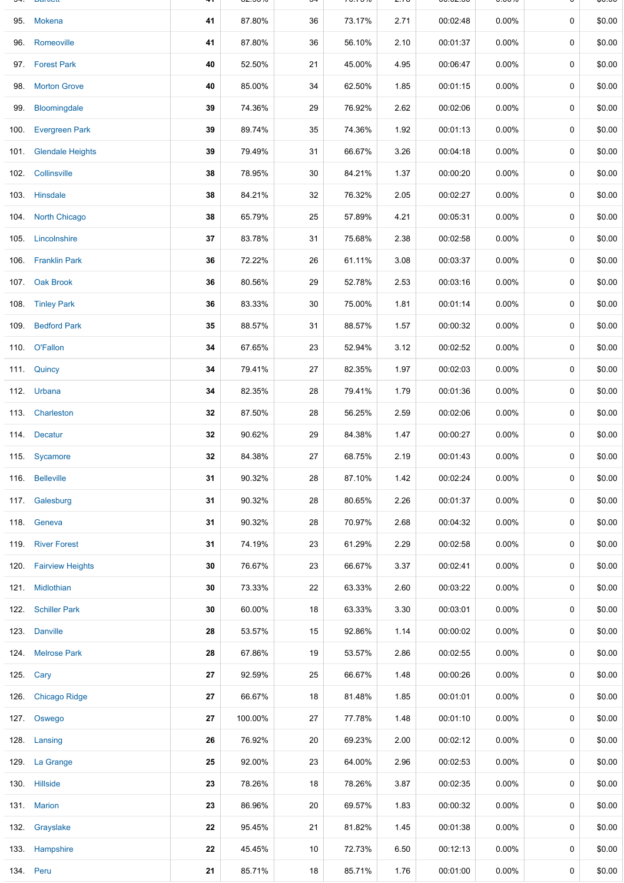|      | 95. Mokena            | 41 | 87.80%  | 36 | 73.17% | 2.71 | 00:02:48 | $0.00\%$ | 0           | \$0.00 |
|------|-----------------------|----|---------|----|--------|------|----------|----------|-------------|--------|
| 96.  | Romeoville            | 41 | 87.80%  | 36 | 56.10% | 2.10 | 00:01:37 | $0.00\%$ | 0           | \$0.00 |
|      | 97. Forest Park       | 40 | 52.50%  | 21 | 45.00% | 4.95 | 00:06:47 | 0.00%    | 0           | \$0.00 |
| 98.  | <b>Morton Grove</b>   | 40 | 85.00%  | 34 | 62.50% | 1.85 | 00:01:15 | $0.00\%$ | 0           | \$0.00 |
| 99.  | Bloomingdale          | 39 | 74.36%  | 29 | 76.92% | 2.62 | 00:02:06 | $0.00\%$ | 0           | \$0.00 |
| 100. | <b>Evergreen Park</b> | 39 | 89.74%  | 35 | 74.36% | 1.92 | 00:01:13 | 0.00%    | 0           | \$0.00 |
|      | 101. Glendale Heights | 39 | 79.49%  | 31 | 66.67% | 3.26 | 00:04:18 | 0.00%    | 0           | \$0.00 |
| 102. | Collinsville          | 38 | 78.95%  | 30 | 84.21% | 1.37 | 00:00:20 | $0.00\%$ | 0           | \$0.00 |
|      | 103. Hinsdale         | 38 | 84.21%  | 32 | 76.32% | 2.05 | 00:02:27 | $0.00\%$ | 0           | \$0.00 |
|      | 104. North Chicago    | 38 | 65.79%  | 25 | 57.89% | 4.21 | 00:05:31 | $0.00\%$ | 0           | \$0.00 |
|      | 105. Lincolnshire     | 37 | 83.78%  | 31 | 75.68% | 2.38 | 00:02:58 | $0.00\%$ | 0           | \$0.00 |
|      | 106. Franklin Park    | 36 | 72.22%  | 26 | 61.11% | 3.08 | 00:03:37 | $0.00\%$ | 0           | \$0.00 |
|      | 107. Oak Brook        | 36 | 80.56%  | 29 | 52.78% | 2.53 | 00:03:16 | 0.00%    | 0           | \$0.00 |
|      | 108. Tinley Park      | 36 | 83.33%  | 30 | 75.00% | 1.81 | 00:01:14 | $0.00\%$ | 0           | \$0.00 |
|      | 109. Bedford Park     | 35 | 88.57%  | 31 | 88.57% | 1.57 | 00:00:32 | $0.00\%$ | 0           | \$0.00 |
|      | 110. O'Fallon         | 34 | 67.65%  | 23 | 52.94% | 3.12 | 00:02:52 | $0.00\%$ | 0           | \$0.00 |
|      | 111. Quincy           | 34 | 79.41%  | 27 | 82.35% | 1.97 | 00:02:03 | $0.00\%$ | 0           | \$0.00 |
|      | 112. Urbana           | 34 | 82.35%  | 28 | 79.41% | 1.79 | 00:01:36 | 0.00%    | 0           | \$0.00 |
|      | 113 Charleston        | 32 | 87.50%  | 28 | 56.25% | 2.59 | 00:02:06 | $0.00\%$ | 0           | \$0.00 |
|      | 114. Decatur          | 32 | 90.62%  | 29 | 84.38% | 1.47 | 00:00:27 | 0.00%    | 0           | \$0.00 |
|      | 115. Sycamore         | 32 | 84.38%  | 27 | 68.75% | 2.19 | 00:01:43 | 0.00%    | 0           | \$0.00 |
|      | 116. Belleville       | 31 | 90.32%  | 28 | 87.10% | 1.42 | 00:02:24 | $0.00\%$ | 0           | \$0.00 |
|      | 117. Galesburg        | 31 | 90.32%  | 28 | 80.65% | 2.26 | 00:01:37 | $0.00\%$ | $\mathbf 0$ | \$0.00 |
|      | 118. Geneva           | 31 | 90.32%  | 28 | 70.97% | 2.68 | 00:04:32 | $0.00\%$ | 0           | \$0.00 |
|      | 119. River Forest     | 31 | 74.19%  | 23 | 61.29% | 2.29 | 00:02:58 | $0.00\%$ | 0           | \$0.00 |
|      | 120. Fairview Heights | 30 | 76.67%  | 23 | 66.67% | 3.37 | 00:02:41 | $0.00\%$ | 0           | \$0.00 |
|      | 121. Midlothian       | 30 | 73.33%  | 22 | 63.33% | 2.60 | 00:03:22 | $0.00\%$ | 0           | \$0.00 |
|      | 122. Schiller Park    | 30 | 60.00%  | 18 | 63.33% | 3.30 | 00:03:01 | $0.00\%$ | 0           | \$0.00 |
|      | 123. Danville         | 28 | 53.57%  | 15 | 92.86% | 1.14 | 00:00:02 | $0.00\%$ | 0           | \$0.00 |
|      | 124. Melrose Park     | 28 | 67.86%  | 19 | 53.57% | 2.86 | 00:02:55 | $0.00\%$ | 0           | \$0.00 |
|      | 125. Cary             | 27 | 92.59%  | 25 | 66.67% | 1.48 | 00:00:26 | $0.00\%$ | 0           | \$0.00 |
|      | 126. Chicago Ridge    | 27 | 66.67%  | 18 | 81.48% | 1.85 | 00:01:01 | $0.00\%$ | 0           | \$0.00 |
|      | 127. Oswego           | 27 | 100.00% | 27 | 77.78% | 1.48 | 00:01:10 | $0.00\%$ | 0           | \$0.00 |
|      | 128. Lansing          | 26 | 76.92%  | 20 | 69.23% | 2.00 | 00:02:12 | $0.00\%$ | 0           | \$0.00 |
|      | 129. La Grange        | 25 | 92.00%  | 23 | 64.00% | 2.96 | 00:02:53 | $0.00\%$ | 0           | \$0.00 |
|      | 130. Hillside         | 23 | 78.26%  | 18 | 78.26% | 3.87 | 00:02:35 | $0.00\%$ | 0           | \$0.00 |
|      | 131. Marion           | 23 | 86.96%  | 20 | 69.57% | 1.83 | 00:00:32 | $0.00\%$ | 0           | \$0.00 |
|      | 132. Grayslake        | 22 | 95.45%  | 21 | 81.82% | 1.45 | 00:01:38 | $0.00\%$ | 0           | \$0.00 |
|      | 133. Hampshire        | 22 | 45.45%  | 10 | 72.73% | 6.50 | 00:12:13 | $0.00\%$ | 0           | \$0.00 |
|      | 134. Peru             | 21 | 85.71%  | 18 | 85.71% | 1.76 | 00:01:00 | $0.00\%$ | 0           | \$0.00 |

94. Bartlett **41** 82.93% 34 70.73% 2.78 00:02:50 0.00% 0 \$0.00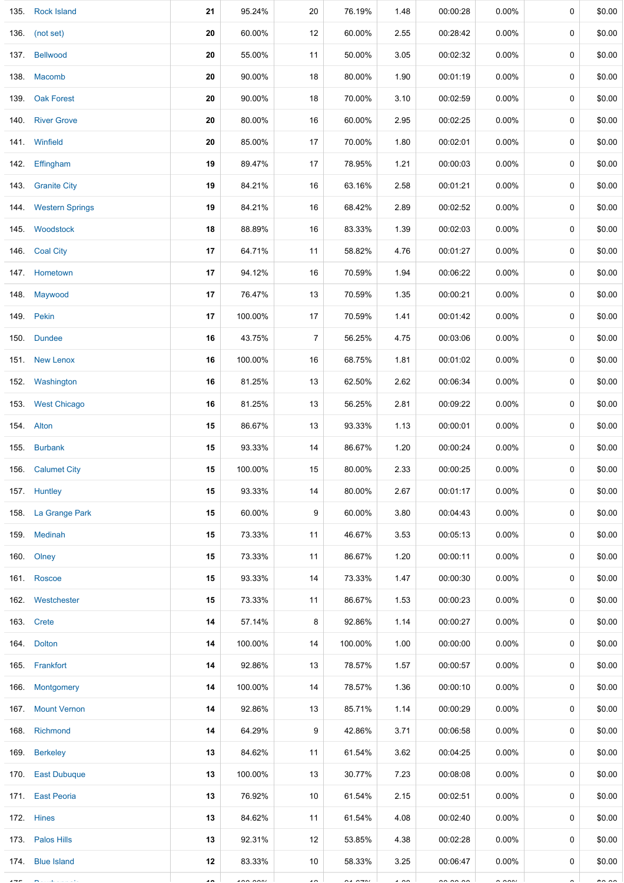| 135.    | <b>Rock Island</b>   | 21                       | 95.24%   | 20                       | 76.19%               | 1.48           | 00:00:28 | $0.00\%$ | 0 | \$0.00        |
|---------|----------------------|--------------------------|----------|--------------------------|----------------------|----------------|----------|----------|---|---------------|
|         | 136. (not set)       | 20                       | 60.00%   | 12                       | 60.00%               | 2.55           | 00:28:42 | $0.00\%$ | 0 | \$0.00        |
|         | 137. Bellwood        | 20                       | 55.00%   | 11                       | 50.00%               | 3.05           | 00:02:32 | $0.00\%$ | 0 | \$0.00        |
|         | 138. Macomb          | 20                       | 90.00%   | 18                       | 80.00%               | 1.90           | 00:01:19 | $0.00\%$ | 0 | \$0.00        |
| 139.    | <b>Oak Forest</b>    | 20                       | 90.00%   | 18                       | 70.00%               | 3.10           | 00:02:59 | $0.00\%$ | 0 | \$0.00        |
|         | 140 River Grove      | 20                       | 80.00%   | 16                       | 60.00%               | 2.95           | 00:02:25 | $0.00\%$ | 0 | \$0.00        |
|         | 141. Winfield        | 20                       | 85.00%   | 17                       | 70.00%               | 1.80           | 00:02:01 | $0.00\%$ | 0 | \$0.00        |
|         | 142 Effingham        | 19                       | 89.47%   | 17                       | 78.95%               | 1.21           | 00:00:03 | $0.00\%$ | 0 | \$0.00        |
|         | 143 Granite City     | 19                       | 84.21%   | 16                       | 63.16%               | 2.58           | 00:01:21 | $0.00\%$ | 0 | \$0.00        |
|         | 144. Western Springs | 19                       | 84.21%   | 16                       | 68.42%               | 2.89           | 00:02:52 | $0.00\%$ | 0 | \$0.00        |
|         | 145. Woodstock       | 18                       | 88.89%   | 16                       | 83.33%               | 1.39           | 00:02:03 | $0.00\%$ | 0 | \$0.00        |
|         | 146. Coal City       | 17                       | 64.71%   | 11                       | 58.82%               | 4.76           | 00:01:27 | $0.00\%$ | 0 | \$0.00        |
|         | 147. Hometown        | 17                       | 94.12%   | 16                       | 70.59%               | 1.94           | 00:06:22 | $0.00\%$ | 0 | \$0.00        |
|         | 148. Maywood         | 17                       | 76.47%   | 13                       | 70.59%               | 1.35           | 00:00:21 | $0.00\%$ | 0 | \$0.00        |
|         | 149. Pekin           | 17                       | 100.00%  | 17                       | 70.59%               | 1.41           | 00:01:42 | $0.00\%$ | 0 | \$0.00        |
| 150.    | <b>Dundee</b>        | 16                       | 43.75%   | $\overline{7}$           | 56.25%               | 4.75           | 00:03:06 | $0.00\%$ | 0 | \$0.00        |
|         | 151 New Lenox        | 16                       | 100.00%  | 16                       | 68.75%               | 1.81           | 00:01:02 | $0.00\%$ | 0 | \$0.00        |
| 152.    | Washington           | 16                       | 81.25%   | 13                       | 62.50%               | 2.62           | 00:06:34 | $0.00\%$ | 0 | \$0.00        |
|         | 153. West Chicago    | 16                       | 81.25%   | 13                       | 56.25%               | 2.81           | 00:09:22 | $0.00\%$ | 0 | \$0.00        |
|         | 154. Alton           | 15                       | 86.67%   | 13                       | 93.33%               | 1.13           | 00:00:01 | $0.00\%$ | 0 | \$0.00        |
| 155.    | <b>Burbank</b>       | 15                       | 93.33%   | 14                       | 86.67%               | 1.20           | 00:00:24 | $0.00\%$ | 0 | \$0.00        |
|         | 156. Calumet City    | 15                       | 100.00%  | 15                       | 80.00%               | 2.33           | 00:00:25 | $0.00\%$ | 0 | \$0.00        |
|         | 157. Huntley         | 15                       | 93.33%   | 14                       | 80.00%               | 2.67           | 00:01:17 | $0.00\%$ | 0 | \$0.00        |
|         | 158. La Grange Park  | 15                       | 60.00%   | 9                        | 60.00%               | 3.80           | 00:04:43 | 0.00%    | 0 | \$0.00        |
|         | 159. Medinah         | 15                       | 73.33%   | 11                       | 46.67%               | 3.53           | 00:05:13 | $0.00\%$ | 0 | \$0.00        |
|         | 160. Olney           | 15                       | 73.33%   | 11                       | 86.67%               | 1.20           | 00:00:11 | $0.00\%$ | 0 | \$0.00        |
|         | 161. Roscoe          | 15                       | 93.33%   | 14                       | 73.33%               | 1.47           | 00:00:30 | $0.00\%$ | 0 | \$0.00        |
|         | 162. Westchester     | 15                       | 73.33%   | 11                       | 86.67%               | 1.53           | 00:00:23 | $0.00\%$ | 0 | \$0.00        |
|         | 163. Crete           | 14                       | 57.14%   | 8                        | 92.86%               | 1.14           | 00:00:27 | $0.00\%$ | 0 | \$0.00        |
|         | 164. Dolton          | 14                       | 100.00%  | 14                       | 100.00%              | 1.00           | 00:00:00 | $0.00\%$ | 0 | \$0.00        |
|         | 165. Frankfort       | 14                       | 92.86%   | 13                       | 78.57%               | 1.57           | 00:00:57 | $0.00\%$ | 0 | \$0.00        |
|         | 166 Montgomery       | 14                       | 100.00%  | 14                       | 78.57%               | 1.36           | 00:00:10 | $0.00\%$ | 0 | \$0.00        |
|         | 167 Mount Vernon     | 14                       | 92.86%   | 13                       | 85.71%               | 1.14           | 00:00:29 | $0.00\%$ | 0 | \$0.00        |
|         | 168. Richmond        | 14                       | 64.29%   | 9                        | 42.86%               | 3.71           | 00:06:58 | $0.00\%$ | 0 | \$0.00        |
|         | 169. Berkeley        | 13                       | 84.62%   | 11                       | 61.54%               | 3.62           | 00:04:25 | $0.00\%$ | 0 | \$0.00        |
|         | 170. East Dubuque    | 13                       | 100.00%  | 13                       | 30.77%               | 7.23           | 00:08:08 | $0.00\%$ | 0 | \$0.00        |
|         | 171. East Peoria     | 13                       | 76.92%   | 10                       | 61.54%               | 2.15           | 00:02:51 | $0.00\%$ | 0 | \$0.00        |
|         | 172. Hines           | 13                       | 84.62%   | 11                       | 61.54%               | 4.08           | 00:02:40 | $0.00\%$ | 0 | \$0.00        |
|         | 173. Palos Hills     | 13                       | 92.31%   | 12                       | 53.85%               | 4.38           | 00:02:28 | $0.00\%$ | 0 | \$0.00        |
|         | 174. Blue Island     | 12                       | 83.33%   | 10                       | 58.33%               | 3.25           | 00:06:47 | $0.00\%$ | 0 | \$0.00        |
| $- - -$ |                      | $\overline{\phantom{a}}$ | $\cdots$ | $\overline{\phantom{a}}$ | $\sim$ $\sim$ $\sim$ | $\overline{1}$ |          | 200      |   | $\sim$ $\sim$ |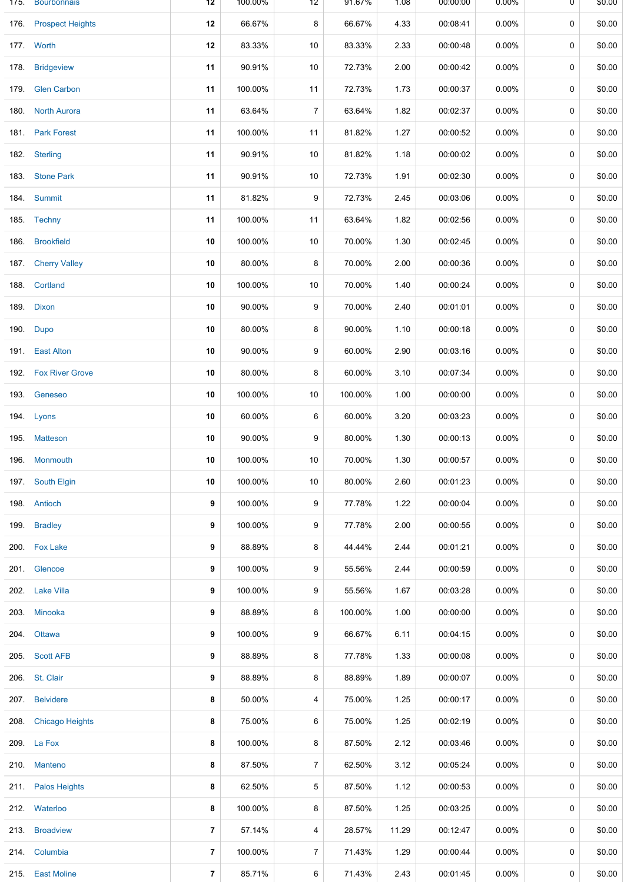| 175. | <b>Bourbonnais</b>      | 12             | 100.00% | 12             | 91.67%  | 1.08  | 00:00:00 | $0.00\%$ | 0 | \$0.00 |
|------|-------------------------|----------------|---------|----------------|---------|-------|----------|----------|---|--------|
| 176. | <b>Prospect Heights</b> | 12             | 66.67%  | 8              | 66.67%  | 4.33  | 00:08:41 | $0.00\%$ | 0 | \$0.00 |
|      | 177. Worth              | 12             | 83.33%  | 10             | 83.33%  | 2.33  | 00:00:48 | $0.00\%$ | 0 | \$0.00 |
| 178. | <b>Bridgeview</b>       | 11             | 90.91%  | 10             | 72.73%  | 2.00  | 00:00:42 | $0.00\%$ | 0 | \$0.00 |
| 179. | <b>Glen Carbon</b>      | 11             | 100.00% | 11             | 72.73%  | 1.73  | 00:00:37 | $0.00\%$ | 0 | \$0.00 |
| 180. | <b>North Aurora</b>     | 11             | 63.64%  | 7              | 63.64%  | 1.82  | 00:02:37 | 0.00%    | 0 | \$0.00 |
|      | 181. Park Forest        | 11             | 100.00% | 11             | 81.82%  | 1.27  | 00:00:52 | $0.00\%$ | 0 | \$0.00 |
| 182. | <b>Sterling</b>         | 11             | 90.91%  | 10             | 81.82%  | 1.18  | 00:00:02 | $0.00\%$ | 0 | \$0.00 |
|      | 183. Stone Park         | 11             | 90.91%  | 10             | 72.73%  | 1.91  | 00:02:30 | $0.00\%$ | 0 | \$0.00 |
|      | 184 Summit              | 11             | 81.82%  | 9              | 72.73%  | 2.45  | 00:03:06 | $0.00\%$ | 0 | \$0.00 |
|      | 185. Techny             | 11             | 100.00% | 11             | 63.64%  | 1.82  | 00:02:56 | $0.00\%$ | 0 | \$0.00 |
| 186. | <b>Brookfield</b>       | 10             | 100.00% | 10             | 70.00%  | 1.30  | 00:02:45 | $0.00\%$ | 0 | \$0.00 |
| 187. | <b>Cherry Valley</b>    | 10             | 80.00%  | 8              | 70.00%  | 2.00  | 00:00:36 | $0.00\%$ | 0 | \$0.00 |
|      | 188. Cortland           | 10             | 100.00% | 10             | 70.00%  | 1.40  | 00:00:24 | $0.00\%$ | 0 | \$0.00 |
| 189. | Dixon                   | 10             | 90.00%  | 9              | 70.00%  | 2.40  | 00:01:01 | $0.00\%$ | 0 | \$0.00 |
| 190. | Dupo                    | 10             | 80.00%  | 8              | 90.00%  | 1.10  | 00:00:18 | $0.00\%$ | 0 | \$0.00 |
| 191. | <b>East Alton</b>       | 10             | 90.00%  | 9              | 60.00%  | 2.90  | 00:03:16 | $0.00\%$ | 0 | \$0.00 |
|      | 192. Fox River Grove    | 10             | 80.00%  | 8              | 60.00%  | 3.10  | 00:07:34 | $0.00\%$ | 0 | \$0.00 |
| 193. | Geneseo                 | 10             | 100.00% | 10             | 100.00% | 1.00  | 00:00:00 | $0.00\%$ | 0 | \$0.00 |
|      | 194. Lyons              | 10             | 60.00%  | 6              | 60.00%  | 3.20  | 00:03:23 | $0.00\%$ | 0 | \$0.00 |
|      | 195. Matteson           | 10             | 90.00%  | 9              | 80.00%  | 1.30  | 00:00:13 | $0.00\%$ | 0 | \$0.00 |
|      | 196. Monmouth           | 10             | 100.00% | 10             | 70.00%  | 1.30  | 00:00:57 | $0.00\%$ | 0 | \$0.00 |
|      | 197. South Elgin        | 10             | 100.00% | 10             | 80.00%  | 2.60  | 00:01:23 | $0.00\%$ | 0 | \$0.00 |
|      | 198. Antioch            | 9              | 100.00% | 9              | 77.78%  | 1.22  | 00:00:04 | $0.00\%$ | 0 | \$0.00 |
| 199. | <b>Bradley</b>          | 9              | 100.00% | 9              | 77.78%  | 2.00  | 00:00:55 | $0.00\%$ | 0 | \$0.00 |
|      | 200. Fox Lake           | 9              | 88.89%  | 8              | 44.44%  | 2.44  | 00:01:21 | $0.00\%$ | 0 | \$0.00 |
|      | 201. Glencoe            | 9              | 100.00% | 9              | 55.56%  | 2.44  | 00:00:59 | 0.00%    | 0 | \$0.00 |
|      | 202. Lake Villa         | 9              | 100.00% | 9              | 55.56%  | 1.67  | 00:03:28 | $0.00\%$ | 0 | \$0.00 |
|      | 203. Minooka            | 9              | 88.89%  | 8              | 100.00% | 1.00  | 00:00:00 | $0.00\%$ | 0 | \$0.00 |
| 204. | Ottawa                  | 9              | 100.00% | 9              | 66.67%  | 6.11  | 00:04:15 | $0.00\%$ | 0 | \$0.00 |
|      | 205. Scott AFB          | 9              | 88.89%  | 8              | 77.78%  | 1.33  | 00:00:08 | $0.00\%$ | 0 | \$0.00 |
| 206. | St. Clair               | 9              | 88.89%  | 8              | 88.89%  | 1.89  | 00:00:07 | $0.00\%$ | 0 | \$0.00 |
| 207. | <b>Belvidere</b>        | 8              | 50.00%  | 4              | 75.00%  | 1.25  | 00:00:17 | $0.00\%$ | 0 | \$0.00 |
| 208. | <b>Chicago Heights</b>  | 8              | 75.00%  | 6              | 75.00%  | 1.25  | 00:02:19 | $0.00\%$ | 0 | \$0.00 |
|      | 209. La Fox             | 8              | 100.00% | 8              | 87.50%  | 2.12  | 00:03:46 | $0.00\%$ | 0 | \$0.00 |
| 210. | <b>Manteno</b>          | 8              | 87.50%  | $\overline{7}$ | 62.50%  | 3.12  | 00:05:24 | $0.00\%$ | 0 | \$0.00 |
|      | 211. Palos Heights      | 8              | 62.50%  | 5              | 87.50%  | 1.12  | 00:00:53 | 0.00%    | 0 | \$0.00 |
|      | 212. Waterloo           | 8              | 100.00% | 8              | 87.50%  | 1.25  | 00:03:25 | $0.00\%$ | 0 | \$0.00 |
| 213. | <b>Broadview</b>        | $\overline{7}$ | 57.14%  | 4              | 28.57%  | 11.29 | 00:12:47 | $0.00\%$ | 0 | \$0.00 |
|      | 214. Columbia           | $\overline{7}$ | 100.00% | 7              | 71.43%  | 1.29  | 00:00:44 | $0.00\%$ | 0 | \$0.00 |
|      | 215. East Moline        | 7              | 85.71%  | 6              | 71.43%  | 2.43  | 00:01:45 | $0.00\%$ | 0 | \$0.00 |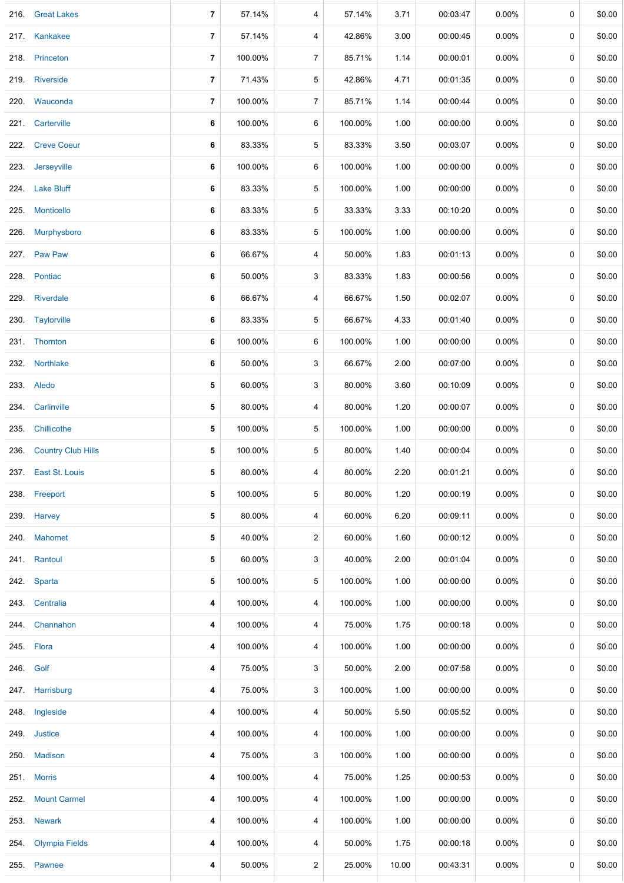| 216. | <b>Great Lakes</b>        | 7              | 57.14%  | 4                       | 57.14%  | 3.71  | 00:03:47 | 0.00%    | 0           | \$0.00 |
|------|---------------------------|----------------|---------|-------------------------|---------|-------|----------|----------|-------------|--------|
|      | 217. Kankakee             | $\overline{7}$ | 57.14%  | 4                       | 42.86%  | 3.00  | 00:00:45 | 0.00%    | 0           | \$0.00 |
|      | 218. Princeton            | 7              | 100.00% | 7                       | 85.71%  | 1.14  | 00:00:01 | $0.00\%$ | 0           | \$0.00 |
|      | 219. Riverside            | $\overline{7}$ | 71.43%  | 5                       | 42.86%  | 4.71  | 00:01:35 | 0.00%    | 0           | \$0.00 |
|      | 220. Wauconda             | 7              | 100.00% | 7                       | 85.71%  | 1.14  | 00:00:44 | 0.00%    | 0           | \$0.00 |
| 221. | Carterville               | 6              | 100.00% | 6                       | 100.00% | 1.00  | 00:00:00 | $0.00\%$ | 0           | \$0.00 |
|      | 222. Creve Coeur          | 6              | 83.33%  | 5                       | 83.33%  | 3.50  | 00:03:07 | 0.00%    | 0           | \$0.00 |
| 223. | Jerseyville               | 6              | 100.00% | 6                       | 100.00% | 1.00  | 00:00:00 | $0.00\%$ | 0           | \$0.00 |
|      | 224. Lake Bluff           | 6              | 83.33%  | 5                       | 100.00% | 1.00  | 00:00:00 | $0.00\%$ | 0           | \$0.00 |
| 225. | Monticello                | 6              | 83.33%  | 5                       | 33.33%  | 3.33  | 00:10:20 | $0.00\%$ | 0           | \$0.00 |
| 226. | Murphysboro               | 6              | 83.33%  | 5                       | 100.00% | 1.00  | 00:00:00 | $0.00\%$ | 0           | \$0.00 |
|      | 227. Paw Paw              | 6              | 66.67%  | 4                       | 50.00%  | 1.83  | 00:01:13 | $0.00\%$ | 0           | \$0.00 |
|      | 228. Pontiac              | 6              | 50.00%  | 3                       | 83.33%  | 1.83  | 00:00:56 | 0.00%    | 0           | \$0.00 |
|      | 229. Riverdale            | 6              | 66.67%  | 4                       | 66.67%  | 1.50  | 00:02:07 | $0.00\%$ | 0           | \$0.00 |
|      | 230. Taylorville          | 6              | 83.33%  | 5                       | 66.67%  | 4.33  | 00:01:40 | $0.00\%$ | 0           | \$0.00 |
|      | 231. Thornton             | 6              | 100.00% | 6                       | 100.00% | 1.00  | 00:00:00 | 0.00%    | 0           | \$0.00 |
| 232. | Northlake                 | 6              | 50.00%  | 3                       | 66.67%  | 2.00  | 00:07:00 | $0.00\%$ | 0           | \$0.00 |
|      | 233. Aledo                | 5              | 60.00%  | 3                       | 80.00%  | 3.60  | 00:10:09 | 0.00%    | 0           | \$0.00 |
| 234. | Carlinville               | 5              | 80.00%  | 4                       | 80.00%  | 1.20  | 00:00:07 | 0.00%    | 0           | \$0.00 |
| 235. | Chillicothe               | 5              | 100.00% | 5                       | 100.00% | 1.00  | 00:00:00 | 0.00%    | 0           | \$0.00 |
| 236. | <b>Country Club Hills</b> | 5              | 100.00% | 5                       | 80.00%  | 1.40  | 00:00:04 | 0.00%    | 0           | \$0.00 |
|      | 237. East St. Louis       | 5              | 80.00%  | 4                       | 80.00%  | 2.20  | 00:01:21 | 0.00%    | 0           | \$0.00 |
|      | 238. Freeport             | 5              | 100.00% | 5                       | 80.00%  | 1.20  | 00:00:19 | $0.00\%$ | 0           | \$0.00 |
|      | 239. Harvey               | 5              | 80.00%  | 4                       | 60.00%  | 6.20  | 00:09:11 | $0.00\%$ | 0           | \$0.00 |
|      | 240. Mahomet              | 5              | 40.00%  | 2                       | 60.00%  | 1.60  | 00:00:12 | $0.00\%$ | $\mathbf 0$ | \$0.00 |
|      | 241. Rantoul              | 5              | 60.00%  | 3                       | 40.00%  | 2.00  | 00:01:04 | $0.00\%$ | 0           | \$0.00 |
|      | 242. Sparta               | 5              | 100.00% | 5                       | 100.00% | 1.00  | 00:00:00 | 0.00%    | 0           | \$0.00 |
|      | 243. Centralia            | 4              | 100.00% | 4                       | 100.00% | 1.00  | 00:00:00 | $0.00\%$ | 0           | \$0.00 |
|      | 244. Channahon            | 4              | 100.00% | 4                       | 75.00%  | 1.75  | 00:00:18 | $0.00\%$ | 0           | \$0.00 |
|      | 245. Flora                | 4              | 100.00% | 4                       | 100.00% | 1.00  | 00:00:00 | $0.00\%$ | 0           | \$0.00 |
|      | 246. Golf                 | 4              | 75.00%  | 3                       | 50.00%  | 2.00  | 00:07:58 | $0.00\%$ | 0           | \$0.00 |
|      | 247. Harrisburg           | 4              | 75.00%  | 3                       | 100.00% | 1.00  | 00:00:00 | $0.00\%$ | 0           | \$0.00 |
| 248. | Ingleside                 | 4              | 100.00% | 4                       | 50.00%  | 5.50  | 00:05:52 | $0.00\%$ | 0           | \$0.00 |
|      | 249. Justice              | 4              | 100.00% | 4                       | 100.00% | 1.00  | 00:00:00 | $0.00\%$ | 0           | \$0.00 |
| 250. | <b>Madison</b>            | 4              | 75.00%  | 3                       | 100.00% | 1.00  | 00:00:00 | $0.00\%$ | 0           | \$0.00 |
|      | 251. Morris               | 4              | 100.00% | 4                       | 75.00%  | 1.25  | 00:00:53 | $0.00\%$ | 0           | \$0.00 |
|      | 252. Mount Carmel         | 4              | 100.00% | 4                       | 100.00% | 1.00  | 00:00:00 | $0.00\%$ | 0           | \$0.00 |
| 253. | <b>Newark</b>             | 4              | 100.00% | 4                       | 100.00% | 1.00  | 00:00:00 | $0.00\%$ | 0           | \$0.00 |
| 254. | <b>Olympia Fields</b>     | 4              | 100.00% | 4                       | 50.00%  | 1.75  | 00:00:18 | $0.00\%$ | 0           | \$0.00 |
|      | 255. Pawnee               | 4              | 50.00%  | $\overline{\mathbf{c}}$ | 25.00%  | 10.00 | 00:43:31 | $0.00\%$ | 0           | \$0.00 |
|      |                           |                |         |                         |         |       |          |          |             |        |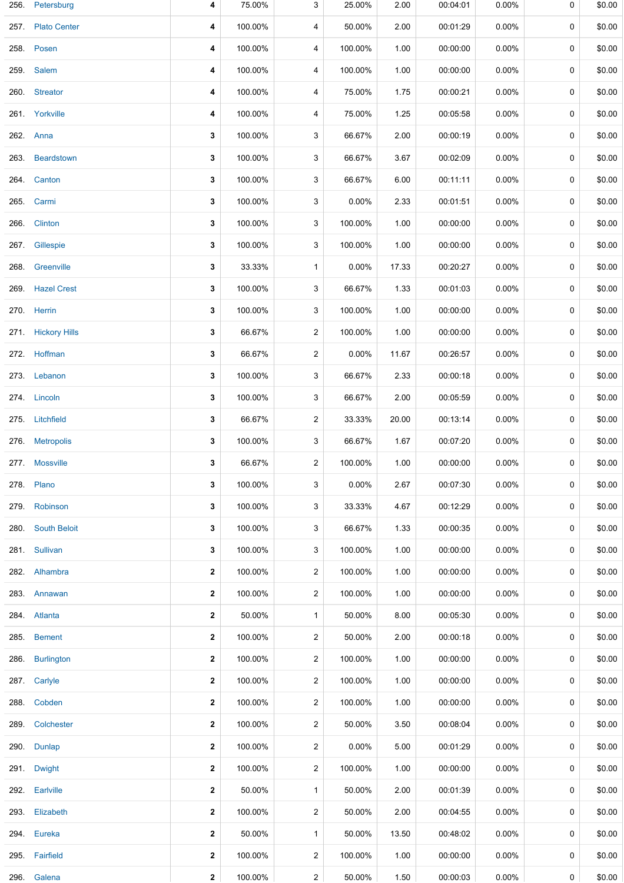| 256. | Petersburg           | 4            | 75.00%  | 3              | 25.00%   | 2.00  | 00:04:01 | 0.00%    | 0           | \$0.00 |
|------|----------------------|--------------|---------|----------------|----------|-------|----------|----------|-------------|--------|
| 257. | <b>Plato Center</b>  | 4            | 100.00% | 4              | 50.00%   | 2.00  | 00:01:29 | $0.00\%$ | 0           | \$0.00 |
|      | 258. Posen           | 4            | 100.00% | 4              | 100.00%  | 1.00  | 00:00:00 | $0.00\%$ | 0           | \$0.00 |
|      | 259. Salem           | 4            | 100.00% | 4              | 100.00%  | 1.00  | 00:00:00 | $0.00\%$ | 0           | \$0.00 |
|      | 260. Streator        | 4            | 100.00% | 4              | 75.00%   | 1.75  | 00:00:21 | $0.00\%$ | 0           | \$0.00 |
|      | 261. Yorkville       | 4            | 100.00% | 4              | 75.00%   | 1.25  | 00:05:58 | $0.00\%$ | 0           | \$0.00 |
|      | 262. Anna            | 3            | 100.00% | 3              | 66.67%   | 2.00  | 00:00:19 | $0.00\%$ | 0           | \$0.00 |
| 263. | Beardstown           | 3            | 100.00% | 3              | 66.67%   | 3.67  | 00:02:09 | $0.00\%$ | 0           | \$0.00 |
| 264. | Canton               | 3            | 100.00% | 3              | 66.67%   | 6.00  | 00:11:11 | $0.00\%$ | 0           | \$0.00 |
| 265. | Carmi                | 3            | 100.00% | 3              | 0.00%    | 2.33  | 00:01:51 | $0.00\%$ | 0           | \$0.00 |
| 266. | <b>Clinton</b>       | 3            | 100.00% | 3              | 100.00%  | 1.00  | 00:00:00 | $0.00\%$ | 0           | \$0.00 |
| 267. | Gillespie            | 3            | 100.00% | 3              | 100.00%  | 1.00  | 00:00:00 | $0.00\%$ | $\mathbf 0$ | \$0.00 |
| 268. | Greenville           | 3            | 33.33%  | $\mathbf{1}$   | 0.00%    | 17.33 | 00:20:27 | $0.00\%$ | 0           | \$0.00 |
|      | 269 Hazel Crest      | 3            | 100.00% | 3              | 66.67%   | 1.33  | 00:01:03 | 0.00%    | 0           | \$0.00 |
|      | 270. Herrin          | 3            | 100.00% | 3              | 100.00%  | 1.00  | 00:00:00 | $0.00\%$ | 0           | \$0.00 |
| 271. | <b>Hickory Hills</b> | 3            | 66.67%  | $\overline{c}$ | 100.00%  | 1.00  | 00:00:00 | $0.00\%$ | 0           | \$0.00 |
|      | 272. Hoffman         | 3            | 66.67%  | $\overline{2}$ | $0.00\%$ | 11.67 | 00:26:57 | $0.00\%$ | 0           | \$0.00 |
|      | 273. Lebanon         | 3            | 100.00% | 3              | 66.67%   | 2.33  | 00:00:18 | $0.00\%$ | $\mathbf 0$ | \$0.00 |
|      | 274. Lincoln         | 3            | 100.00% | 3              | 66.67%   | 2.00  | 00:05:59 | $0.00\%$ | 0           | \$0.00 |
|      | 275. Litchfield      | 3            | 66.67%  | 2              | 33.33%   | 20.00 | 00:13:14 | $0.00\%$ | 0           | \$0.00 |
| 276. | <b>Metropolis</b>    | 3            | 100.00% | 3              | 66.67%   | 1.67  | 00:07:20 | $0.00\%$ | 0           | \$0.00 |
|      | 277. Mossville       | 3            | 66.67%  | 2              | 100.00%  | 1.00  | 00:00:00 | $0.00\%$ | 0           | \$0.00 |
|      | 278. Plano           | 3            | 100.00% | 3              | 0.00%    | 2.67  | 00:07:30 | $0.00\%$ | 0           | \$0.00 |
|      | 279. Robinson        | 3            | 100.00% | 3              | 33.33%   | 4.67  | 00:12:29 | $0.00\%$ | 0           | \$0.00 |
| 280. | <b>South Beloit</b>  | 3            | 100.00% | 3              | 66.67%   | 1.33  | 00:00:35 | $0.00\%$ | 0           | \$0.00 |
|      | 281. Sullivan        | 3            | 100.00% | 3              | 100.00%  | 1.00  | 00:00:00 | $0.00\%$ | 0           | \$0.00 |
|      | 282. Alhambra        | 2            | 100.00% | 2              | 100.00%  | 1.00  | 00:00:00 | $0.00\%$ | 0           | \$0.00 |
|      | 283. Annawan         | 2            | 100.00% | 2              | 100.00%  | 1.00  | 00:00:00 | $0.00\%$ | 0           | \$0.00 |
|      | 284. Atlanta         | 2            | 50.00%  | $\mathbf{1}$   | 50.00%   | 8.00  | 00:05:30 | $0.00\%$ | 0           | \$0.00 |
| 285. | <b>Bement</b>        | 2            | 100.00% | 2              | 50.00%   | 2.00  | 00:00:18 | $0.00\%$ | 0           | \$0.00 |
|      | 286. Burlington      | 2            | 100.00% | $\overline{c}$ | 100.00%  | 1.00  | 00:00:00 | $0.00\%$ | 0           | \$0.00 |
|      | 287. Carlyle         | 2            | 100.00% | $\overline{2}$ | 100.00%  | 1.00  | 00:00:00 | $0.00\%$ | 0           | \$0.00 |
|      | 288. Cobden          | 2            | 100.00% | $\overline{c}$ | 100.00%  | 1.00  | 00:00:00 | $0.00\%$ | 0           | \$0.00 |
|      | 289. Colchester      | 2            | 100.00% | $\overline{c}$ | 50.00%   | 3.50  | 00:08:04 | $0.00\%$ | 0           | \$0.00 |
|      | 290. Dunlap          | 2            | 100.00% | $\overline{c}$ | 0.00%    | 5.00  | 00:01:29 | $0.00\%$ | 0           | \$0.00 |
|      | 291. Dwight          | 2            | 100.00% | $\overline{2}$ | 100.00%  | 1.00  | 00:00:00 | $0.00\%$ | 0           | \$0.00 |
|      | 292. Earlville       | 2            | 50.00%  | $\mathbf{1}$   | 50.00%   | 2.00  | 00:01:39 | $0.00\%$ | 0           | \$0.00 |
| 293. | Elizabeth            | 2            | 100.00% | $\overline{c}$ | 50.00%   | 2.00  | 00:04:55 | $0.00\%$ | 0           | \$0.00 |
|      | 294. Eureka          | 2            | 50.00%  | $\mathbf{1}$   | 50.00%   | 13.50 | 00:48:02 | 0.00%    | 0           | \$0.00 |
|      | 295. Fairfield       | 2            | 100.00% | $\overline{2}$ | 100.00%  | 1.00  | 00:00:00 | $0.00\%$ | 0           | \$0.00 |
| 296. | Galena               | $\mathbf{2}$ | 100.00% | $\mathbf{2}$   | 50.00%   | 1.50  | 00:00:03 | $0.00\%$ | 0           | \$0.00 |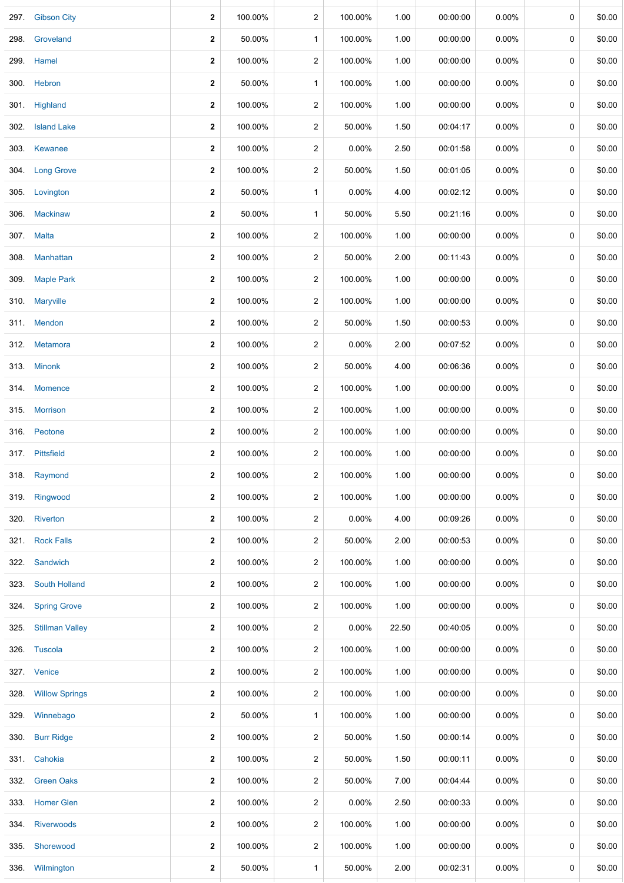| 297. | <b>Gibson City</b>     | 2                       | 100.00% | 2                       | 100.00%  | 1.00  | 00:00:00 | 0.00%    | 0 | \$0.00 |
|------|------------------------|-------------------------|---------|-------------------------|----------|-------|----------|----------|---|--------|
| 298. | Groveland              | 2                       | 50.00%  | $\mathbf{1}$            | 100.00%  | 1.00  | 00:00:00 | 0.00%    | 0 | \$0.00 |
| 299. | Hamel                  | $\overline{\mathbf{2}}$ | 100.00% | 2                       | 100.00%  | 1.00  | 00:00:00 | $0.00\%$ | 0 | \$0.00 |
|      | 300. Hebron            | 2                       | 50.00%  | $\mathbf{1}$            | 100.00%  | 1.00  | 00:00:00 | 0.00%    | 0 | \$0.00 |
|      | 301. Highland          | 2                       | 100.00% | 2                       | 100.00%  | 1.00  | 00:00:00 | $0.00\%$ | 0 | \$0.00 |
| 302. | <b>Island Lake</b>     | $\overline{\mathbf{2}}$ | 100.00% | 2                       | 50.00%   | 1.50  | 00:04:17 | $0.00\%$ | 0 | \$0.00 |
|      | 303. Kewanee           | 2                       | 100.00% | 2                       | 0.00%    | 2.50  | 00:01:58 | $0.00\%$ | 0 | \$0.00 |
|      | 304. Long Grove        | 2                       | 100.00% | 2                       | 50.00%   | 1.50  | 00:01:05 | $0.00\%$ | 0 | \$0.00 |
|      | 305. Lovington         | 2                       | 50.00%  | $\mathbf 1$             | $0.00\%$ | 4.00  | 00:02:12 | $0.00\%$ | 0 | \$0.00 |
| 306. | <b>Mackinaw</b>        | 2                       | 50.00%  | $\mathbf{1}$            | 50.00%   | 5.50  | 00:21:16 | $0.00\%$ | 0 | \$0.00 |
|      | 307. Malta             | 2                       | 100.00% | 2                       | 100.00%  | 1.00  | 00:00:00 | 0.00%    | 0 | \$0.00 |
| 308. | Manhattan              | $\overline{\mathbf{2}}$ | 100.00% | $\overline{\mathbf{c}}$ | 50.00%   | 2.00  | 00:11:43 | 0.00%    | 0 | \$0.00 |
|      | 309. Maple Park        | 2                       | 100.00% | 2                       | 100.00%  | 1.00  | 00:00:00 | 0.00%    | 0 | \$0.00 |
| 310. | <b>Maryville</b>       | $\overline{\mathbf{2}}$ | 100.00% | 2                       | 100.00%  | 1.00  | 00:00:00 | $0.00\%$ | 0 | \$0.00 |
|      | 311. Mendon            | 2                       | 100.00% | 2                       | 50.00%   | 1.50  | 00:00:53 | 0.00%    | 0 | \$0.00 |
|      | 312. Metamora          | 2                       | 100.00% | 2                       | 0.00%    | 2.00  | 00:07:52 | $0.00\%$ | 0 | \$0.00 |
|      | 313. Minonk            | 2                       | 100.00% | 2                       | 50.00%   | 4.00  | 00:06:36 | $0.00\%$ | 0 | \$0.00 |
|      | 314. Momence           | 2                       | 100.00% | 2                       | 100.00%  | 1.00  | 00:00:00 | $0.00\%$ | 0 | \$0.00 |
|      | 315. Morrison          | 2                       | 100.00% | 2                       | 100.00%  | 1.00  | 00:00:00 | $0.00\%$ | 0 | \$0.00 |
|      | 316. Peotone           | 2                       | 100.00% | 2                       | 100.00%  | 1.00  | 00:00:00 | $0.00\%$ | 0 | \$0.00 |
|      | 317. Pittsfield        | $\mathbf{2}$            | 100.00% | 2                       | 100.00%  | 1.00  | 00:00:00 | $0.00\%$ | 0 | \$0.00 |
|      | 318. Raymond           | $\mathbf{2}$            | 100.00% | 2                       | 100.00%  | 1.00  | 00:00:00 | $0.00\%$ | 0 | \$0.00 |
|      | 319. Ringwood          | 2                       | 100.00% | $\overline{2}$          | 100.00%  | 1.00  | 00:00:00 | $0.00\%$ | 0 | \$0.00 |
|      | 320. Riverton          | 2                       | 100.00% | 2                       | $0.00\%$ | 4.00  | 00:09:26 | $0.00\%$ | 0 | \$0.00 |
|      | 321 Rock Falls         | 2                       | 100.00% | $\overline{\mathbf{c}}$ | 50.00%   | 2.00  | 00:00:53 | $0.00\%$ | 0 | \$0.00 |
|      | 322. Sandwich          | $\mathbf{2}$            | 100.00% | 2                       | 100.00%  | 1.00  | 00:00:00 | $0.00\%$ | 0 | \$0.00 |
| 323. | <b>South Holland</b>   | $\overline{\mathbf{2}}$ | 100.00% | 2                       | 100.00%  | 1.00  | 00:00:00 | $0.00\%$ | 0 | \$0.00 |
| 324. | <b>Spring Grove</b>    | 2                       | 100.00% | 2                       | 100.00%  | 1.00  | 00:00:00 | $0.00\%$ | 0 | \$0.00 |
| 325. | <b>Stillman Valley</b> | 2                       | 100.00% | 2                       | 0.00%    | 22.50 | 00:40:05 | 0.00%    | 0 | \$0.00 |
|      | 326. Tuscola           | 2                       | 100.00% | 2                       | 100.00%  | 1.00  | 00:00:00 | 0.00%    | 0 | \$0.00 |
|      | 327. Venice            | 2                       | 100.00% | 2                       | 100.00%  | 1.00  | 00:00:00 | $0.00\%$ | 0 | \$0.00 |
|      | 328. Willow Springs    | 2                       | 100.00% | 2                       | 100.00%  | 1.00  | 00:00:00 | $0.00\%$ | 0 | \$0.00 |
| 329. | Winnebago              | 2                       | 50.00%  | $\mathbf{1}$            | 100.00%  | 1.00  | 00:00:00 | $0.00\%$ | 0 | \$0.00 |
| 330. | <b>Burr Ridge</b>      | $\mathbf 2$             | 100.00% | 2                       | 50.00%   | 1.50  | 00:00:14 | $0.00\%$ | 0 | \$0.00 |
|      | 331. Cahokia           | $\mathbf 2$             | 100.00% | 2                       | 50.00%   | 1.50  | 00:00:11 | $0.00\%$ | 0 | \$0.00 |
|      | 332 Green Oaks         | $\mathbf 2$             | 100.00% | 2                       | 50.00%   | 7.00  | 00:04:44 | $0.00\%$ | 0 | \$0.00 |
|      | 333. Homer Glen        | 2                       | 100.00% | 2                       | 0.00%    | 2.50  | 00:00:33 | $0.00\%$ | 0 | \$0.00 |
| 334. | <b>Riverwoods</b>      | 2                       | 100.00% | 2                       | 100.00%  | 1.00  | 00:00:00 | $0.00\%$ | 0 | \$0.00 |
|      | 335. Shorewood         | 2                       | 100.00% | 2                       | 100.00%  | 1.00  | 00:00:00 | $0.00\%$ | 0 | \$0.00 |
|      | 336. Wilmington        | 2                       | 50.00%  | $\mathbf{1}$            | 50.00%   | 2.00  | 00:02:31 | $0.00\%$ | 0 | \$0.00 |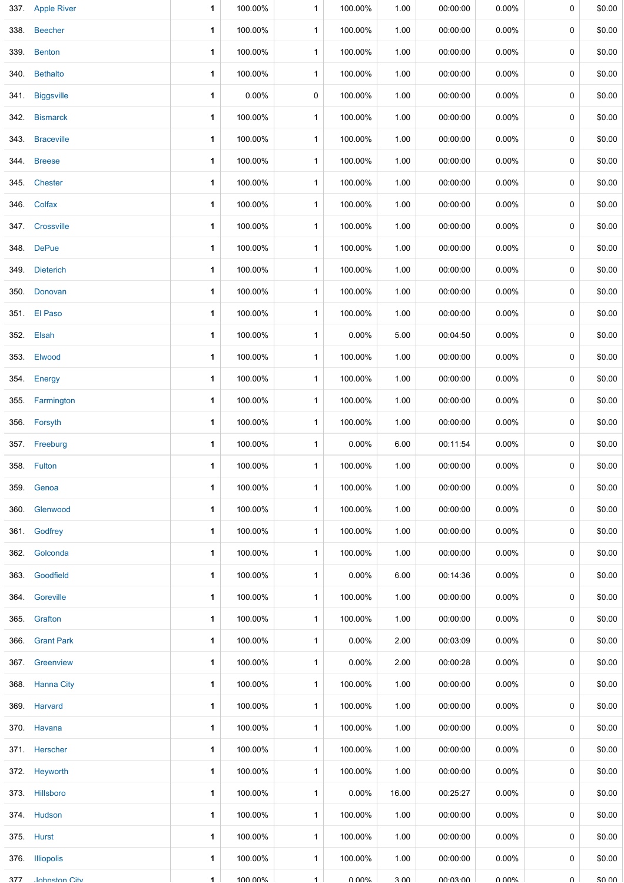|      | 337. Apple River     | 1 | 100.00% | $\mathbf{1}$ | 100.00%  | 1.00  | 00:00:00        | $0.00\%$ | 0           | \$0.00 |
|------|----------------------|---|---------|--------------|----------|-------|-----------------|----------|-------------|--------|
| 338. | <b>Beecher</b>       | 1 | 100.00% | $\mathbf{1}$ | 100.00%  | 1.00  | 00:00:00        | $0.00\%$ | 0           | \$0.00 |
| 339. | <b>Benton</b>        | 1 | 100.00% | $\mathbf{1}$ | 100.00%  | 1.00  | 00:00:00        | $0.00\%$ | 0           | \$0.00 |
| 340. | <b>Bethalto</b>      | 1 | 100.00% | $\mathbf{1}$ | 100.00%  | 1.00  | 00:00:00        | $0.00\%$ | 0           | \$0.00 |
|      | 341. Biggsville      | 1 | 0.00%   | 0            | 100.00%  | 1.00  | 00:00:00        | $0.00\%$ | 0           | \$0.00 |
| 342. | <b>Bismarck</b>      | 1 | 100.00% | $\mathbf{1}$ | 100.00%  | 1.00  | 00:00:00        | $0.00\%$ | 0           | \$0.00 |
| 343. | <b>Braceville</b>    | 1 | 100.00% | $\mathbf 1$  | 100.00%  | 1.00  | 00:00:00        | $0.00\%$ | 0           | \$0.00 |
| 344. | <b>Breese</b>        | 1 | 100.00% | 1            | 100.00%  | 1.00  | 00:00:00        | $0.00\%$ | 0           | \$0.00 |
| 345. | <b>Chester</b>       | 1 | 100.00% | $\mathbf{1}$ | 100.00%  | 1.00  | 00:00:00        | $0.00\%$ | 0           | \$0.00 |
|      | 346. Colfax          | 1 | 100.00% | $\mathbf{1}$ | 100.00%  | 1.00  | 00:00:00        | $0.00\%$ | 0           | \$0.00 |
|      | 347. Crossville      | 1 | 100.00% | $\mathbf{1}$ | 100.00%  | 1.00  | 00:00:00        | $0.00\%$ | 0           | \$0.00 |
|      | 348. DePue           | 1 | 100.00% | $\mathbf{1}$ | 100.00%  | 1.00  | 00:00:00        | $0.00\%$ | 0           | \$0.00 |
| 349. | <b>Dieterich</b>     | 1 | 100.00% | $\mathbf{1}$ | 100.00%  | 1.00  | 00:00:00        | $0.00\%$ | 0           | \$0.00 |
| 350. | Donovan              | 1 | 100.00% | $\mathbf{1}$ | 100.00%  | 1.00  | 00:00:00        | 0.00%    | 0           | \$0.00 |
|      | 351. El Paso         | 1 | 100.00% | $\mathbf{1}$ | 100.00%  | 1.00  | 00:00:00        | $0.00\%$ | 0           | \$0.00 |
|      | 352. Elsah           | 1 | 100.00% | $\mathbf 1$  | $0.00\%$ | 5.00  | 00:04:50        | $0.00\%$ | 0           | \$0.00 |
| 353. | Elwood               | 1 | 100.00% | $\mathbf{1}$ | 100.00%  | 1.00  | 00:00:00        | $0.00\%$ | 0           | \$0.00 |
| 354. | Energy               | 1 | 100.00% | $\mathbf{1}$ | 100.00%  | 1.00  | 00:00:00        | 0.00%    | 0           | \$0.00 |
| 355. | Farmington           | 1 | 100.00% | $\mathbf{1}$ | 100.00%  | 1.00  | 00:00:00        | $0.00\%$ | 0           | \$0.00 |
|      | 356. Forsyth         | 1 | 100.00% | $\mathbf{1}$ | 100.00%  | 1.00  | 00:00:00        | 0.00%    | 0           | \$0.00 |
|      | 357 Freeburg         | 1 | 100.00% | $\mathbf{1}$ | $0.00\%$ | 6.00  | 00:11:54        | 0.00%    | 0           | \$0.00 |
|      | 358. Fulton          | 1 | 100.00% | $\mathbf{1}$ | 100.00%  | 1.00  | 00:00:00        | $0.00\%$ | 0           | \$0.00 |
|      | 359. Genoa           | 1 | 100.00% | $\mathbf{1}$ | 100.00%  | 1.00  | 00:00:00        | $0.00\%$ | $\mathbf 0$ | \$0.00 |
|      | 360. Glenwood        | 1 | 100.00% | $\mathbf{1}$ | 100.00%  | 1.00  | 00:00:00        | $0.00\%$ | 0           | \$0.00 |
|      | 361. Godfrey         | 1 | 100.00% | $\mathbf{1}$ | 100.00%  | 1.00  | 00:00:00        | $0.00\%$ | 0           | \$0.00 |
|      | 362. Golconda        | 1 | 100.00% | $\mathbf{1}$ | 100.00%  | 1.00  | 00:00:00        | $0.00\%$ | 0           | \$0.00 |
|      | 363. Goodfield       | 1 | 100.00% | $\mathbf{1}$ | 0.00%    | 6.00  | 00:14:36        | $0.00\%$ | 0           | \$0.00 |
|      | 364. Goreville       | 1 | 100.00% | $\mathbf{1}$ | 100.00%  | 1.00  | 00:00:00        | $0.00\%$ | 0           | \$0.00 |
|      | 365. Grafton         | 1 | 100.00% | $\mathbf{1}$ | 100.00%  | 1.00  | 00:00:00        | $0.00\%$ | 0           | \$0.00 |
|      | 366. Grant Park      | 1 | 100.00% | $\mathbf{1}$ | $0.00\%$ | 2.00  | 00:03:09        | $0.00\%$ | 0           | \$0.00 |
|      | 367 Greenview        | 1 | 100.00% | $\mathbf{1}$ | $0.00\%$ | 2.00  | 00:00:28        | $0.00\%$ | 0           | \$0.00 |
|      | 368. Hanna City      | 1 | 100.00% | $\mathbf{1}$ | 100.00%  | 1.00  | 00:00:00        | $0.00\%$ | 0           | \$0.00 |
|      | 369. Harvard         | 1 | 100.00% | $\mathbf{1}$ | 100.00%  | 1.00  | 00:00:00        | $0.00\%$ | 0           | \$0.00 |
|      | 370. Havana          | 1 | 100.00% | $\mathbf{1}$ | 100.00%  | 1.00  | 00:00:00        | $0.00\%$ | 0           | \$0.00 |
|      | 371. Herscher        | 1 | 100.00% | $\mathbf{1}$ | 100.00%  | 1.00  | 00:00:00        | $0.00\%$ | 0           | \$0.00 |
|      | 372. Heyworth        | 1 | 100.00% | $\mathbf{1}$ | 100.00%  | 1.00  | 00:00:00        | $0.00\%$ | 0           | \$0.00 |
|      | 373. Hillsboro       | 1 | 100.00% | $\mathbf{1}$ | $0.00\%$ | 16.00 | 00:25:27        | $0.00\%$ | 0           | \$0.00 |
|      | 374. Hudson          | 1 | 100.00% | $\mathbf{1}$ | 100.00%  | 1.00  | 00:00:00        | $0.00\%$ | 0           | \$0.00 |
|      | 375. Hurst           | 1 | 100.00% | $\mathbf{1}$ | 100.00%  | 1.00  | 00:00:00        | $0.00\%$ | 0           | \$0.00 |
|      | 376. Illiopolis      | 1 | 100.00% | $\mathbf{1}$ | 100.00%  | 1.00  | 00:00:00        | $0.00\%$ | $\Omega$    | \$0.00 |
| 377  | <b>Inhneton City</b> | 1 | 100.00% | $\mathbf{1}$ | በ በበ%    | 3 UU  | <b>UU-CU-UU</b> | U UUN    | $\cap$      | \$0.00 |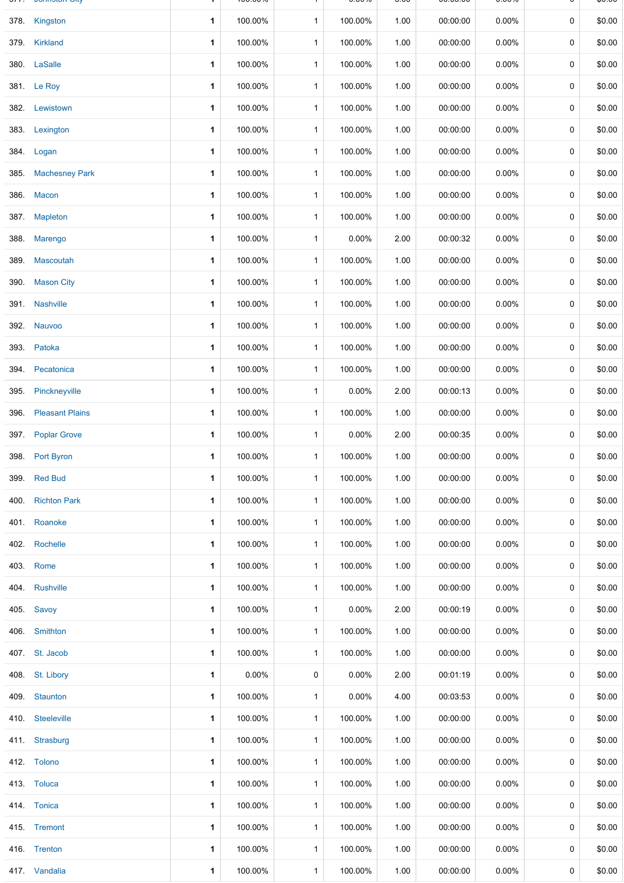|      | <b>JUILIJIUI UIT</b>   |   | 100.0070 |              | <b>0.000</b> | v.vv | 00.00.00 | <b>0.0070</b> |             | ψυ.υυ  |
|------|------------------------|---|----------|--------------|--------------|------|----------|---------------|-------------|--------|
|      | 378. Kingston          | 1 | 100.00%  | $\mathbf{1}$ | 100.00%      | 1.00 | 00:00:00 | $0.00\%$      | $\mathbf 0$ | \$0.00 |
| 379. | Kirkland               | 1 | 100.00%  | $\mathbf{1}$ | 100.00%      | 1.00 | 00:00:00 | $0.00\%$      | 0           | \$0.00 |
|      | 380. LaSalle           | 1 | 100.00%  | $\mathbf{1}$ | 100.00%      | 1.00 | 00:00:00 | $0.00\%$      | 0           | \$0.00 |
|      | 381. Le Roy            | 1 | 100.00%  | $\mathbf{1}$ | 100.00%      | 1.00 | 00:00:00 | $0.00\%$      | 0           | \$0.00 |
|      | 382. Lewistown         | 1 | 100.00%  | $\mathbf{1}$ | 100.00%      | 1.00 | 00:00:00 | $0.00\%$      | 0           | \$0.00 |
|      | 383. Lexington         | 1 | 100.00%  | $\mathbf{1}$ | 100.00%      | 1.00 | 00:00:00 | 0.00%         | 0           | \$0.00 |
|      | 384. Logan             | 1 | 100.00%  | $\mathbf 1$  | 100.00%      | 1.00 | 00:00:00 | $0.00\%$      | 0           | \$0.00 |
| 385. | <b>Machesney Park</b>  | 1 | 100.00%  | $\mathbf{1}$ | 100.00%      | 1.00 | 00:00:00 | 0.00%         | 0           | \$0.00 |
| 386. | <b>Macon</b>           | 1 | 100.00%  | $\mathbf{1}$ | 100.00%      | 1.00 | 00:00:00 | $0.00\%$      | 0           | \$0.00 |
|      | 387. Mapleton          | 1 | 100.00%  | $\mathbf{1}$ | 100.00%      | 1.00 | 00:00:00 | $0.00\%$      | 0           | \$0.00 |
|      | 388. Marengo           | 1 | 100.00%  | $\mathbf{1}$ | 0.00%        | 2.00 | 00:00:32 | $0.00\%$      | 0           | \$0.00 |
| 389. | <b>Mascoutah</b>       | 1 | 100.00%  | $\mathbf{1}$ | 100.00%      | 1.00 | 00:00:00 | 0.00%         | 0           | \$0.00 |
| 390. | <b>Mason City</b>      | 1 | 100.00%  | $\mathbf{1}$ | 100.00%      | 1.00 | 00:00:00 | $0.00\%$      | 0           | \$0.00 |
|      | 391. Nashville         | 1 | 100.00%  | $\mathbf{1}$ | 100.00%      | 1.00 | 00:00:00 | $0.00\%$      | 0           | \$0.00 |
| 392. | <b>Nauvoo</b>          | 1 | 100.00%  | $\mathbf{1}$ | 100.00%      | 1.00 | 00:00:00 | $0.00\%$      | 0           | \$0.00 |
|      | 393. Patoka            | 1 | 100.00%  | $\mathbf{1}$ | 100.00%      | 1.00 | 00:00:00 | $0.00\%$      | 0           | \$0.00 |
| 394. | Pecatonica             | 1 | 100.00%  | $\mathbf{1}$ | 100.00%      | 1.00 | 00:00:00 | $0.00\%$      | 0           | \$0.00 |
| 395. | Pinckneyville          | 1 | 100.00%  | $\mathbf{1}$ | 0.00%        | 2.00 | 00:00:13 | $0.00\%$      | 0           | \$0.00 |
| 396. | <b>Pleasant Plains</b> | 1 | 100.00%  | $\mathbf{1}$ | 100.00%      | 1.00 | 00:00:00 | 0.00%         | 0           | \$0.00 |
|      | 397. Poplar Grove      | 1 | 100.00%  | $\mathbf{1}$ | 0.00%        | 2.00 | 00:00:35 | $0.00\%$      | 0           | \$0.00 |
|      | 398. Port Byron        | 1 | 100.00%  | $\mathbf{1}$ | 100.00%      | 1.00 | 00:00:00 | $0.00\%$      | 0           | \$0.00 |
| 399. | <b>Red Bud</b>         | 1 | 100.00%  | $\mathbf{1}$ | 100.00%      | 1.00 | 00:00:00 | 0.00%         | 0           | \$0.00 |
|      | 400 Richton Park       | 1 | 100.00%  | $\mathbf{1}$ | 100.00%      | 1.00 | 00:00:00 | $0.00\%$      | 0           | \$0.00 |
|      | 401. Roanoke           | 1 | 100.00%  | $\mathbf{1}$ | 100.00%      | 1.00 | 00:00:00 | $0.00\%$      | 0           | \$0.00 |
|      | 402. Rochelle          | 1 | 100.00%  | $\mathbf{1}$ | 100.00%      | 1.00 | 00:00:00 | $0.00\%$      | 0           | \$0.00 |
|      | 403. Rome              | 1 | 100.00%  | $\mathbf{1}$ | 100.00%      | 1.00 | 00:00:00 | $0.00\%$      | 0           | \$0.00 |
|      | 404. Rushville         | 1 | 100.00%  | $\mathbf{1}$ | 100.00%      | 1.00 | 00:00:00 | $0.00\%$      | 0           | \$0.00 |
|      | 405. Savoy             | 1 | 100.00%  | $\mathbf{1}$ | 0.00%        | 2.00 | 00:00:19 | $0.00\%$      | 0           | \$0.00 |
|      | 406. Smithton          | 1 | 100.00%  | $\mathbf{1}$ | 100.00%      | 1.00 | 00:00:00 | $0.00\%$      | 0           | \$0.00 |
|      | 407. St. Jacob         | 1 | 100.00%  | $\mathbf{1}$ | 100.00%      | 1.00 | 00:00:00 | $0.00\%$      | 0           | \$0.00 |
|      | 408. St. Libory        | 1 | $0.00\%$ | 0            | 0.00%        | 2.00 | 00:01:19 | $0.00\%$      | 0           | \$0.00 |
|      | 409. Staunton          | 1 | 100.00%  | $\mathbf{1}$ | 0.00%        | 4.00 | 00:03:53 | $0.00\%$      | 0           | \$0.00 |
|      | 410. Steeleville       | 1 | 100.00%  | $\mathbf{1}$ | 100.00%      | 1.00 | 00:00:00 | $0.00\%$      | 0           | \$0.00 |
|      | 411 Strasburg          | 1 | 100.00%  | $\mathbf{1}$ | 100.00%      | 1.00 | 00:00:00 | $0.00\%$      | 0           | \$0.00 |
|      | 412. Tolono            | 1 | 100.00%  | $\mathbf{1}$ | 100.00%      | 1.00 | 00:00:00 | $0.00\%$      | 0           | \$0.00 |
|      | 413. Toluca            | 1 | 100.00%  | $\mathbf{1}$ | 100.00%      | 1.00 | 00:00:00 | $0.00\%$      | 0           | \$0.00 |
|      | 414. Tonica            | 1 | 100.00%  | $\mathbf{1}$ | 100.00%      | 1.00 | 00:00:00 | $0.00\%$      | 0           | \$0.00 |
|      | 415. Tremont           | 1 | 100.00%  | $\mathbf{1}$ | 100.00%      | 1.00 | 00:00:00 | $0.00\%$      | 0           | \$0.00 |
|      | 416. Trenton           | 1 | 100.00%  | $\mathbf{1}$ | 100.00%      | 1.00 | 00:00:00 | $0.00\%$      | 0           | \$0.00 |
|      | 417 Vandalia           | 1 | 100.00%  | $\mathbf{1}$ | 100.00%      | 1.00 | 00:00:00 | $0.00\%$      | 0           | \$0.00 |